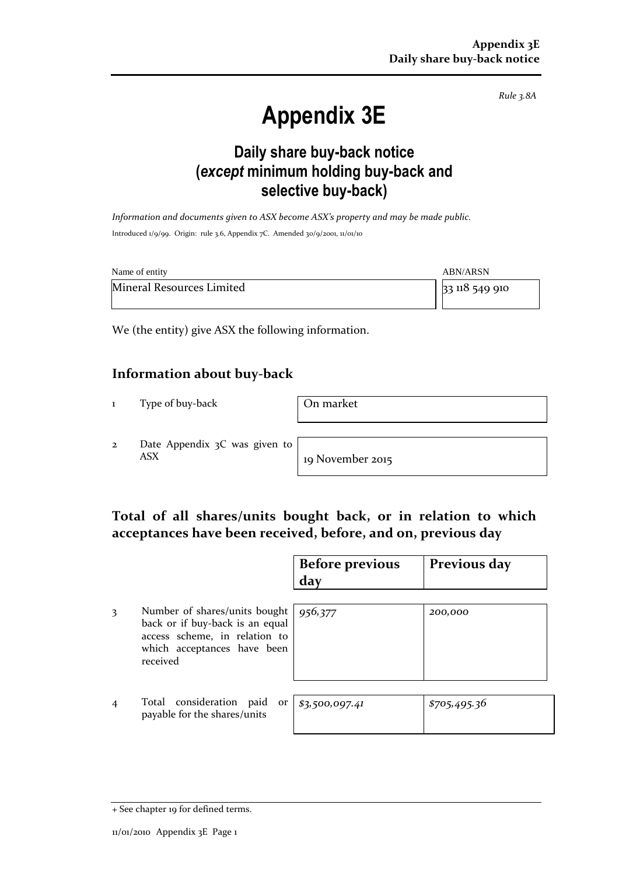*Rule 3.8A*

# **Appendix 3E**

# **Daily share buy-back notice (***except* **minimum holding buy-back and selective buy-back)**

*Information and documents given to ASX become ASX's property and may be made public.* Introduced 1/9/99. Origin: rule 3.6, Appendix 7C. Amended 30/9/2001, 11/01/10

| Name of entity            | <b>ABN/ARSN</b> |
|---------------------------|-----------------|
| Mineral Resources Limited | 33 118 549 910  |

We (the entity) give ASX the following information.

### **Information about buy-back**

1 Type of buy-back **On market** 

2 Date Appendix 3C was given to ASX 19 November 2015

## **Total of all shares/units bought back, or in relation to which acceptances have been received, before, and on, previous day**

|   |                                                                                                                                              | <b>Before previous</b><br>day | Previous day |
|---|----------------------------------------------------------------------------------------------------------------------------------------------|-------------------------------|--------------|
| 3 | Number of shares/units bought<br>back or if buy-back is an equal<br>access scheme, in relation to<br>which acceptances have been<br>received | 956,377                       | 200,000      |
|   | Total consideration<br>paid<br>or<br>payable for the shares/units                                                                            | \$3,500,097.41                | \$705,495.36 |

<sup>+</sup> See chapter 19 for defined terms.